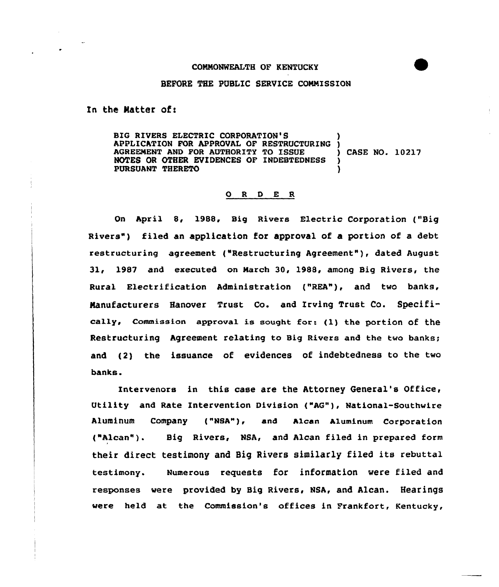## COMMONWEALTH OF KENTUCKY

## BEFORE YHE PUBLIC SERVICE CONNISSION

In the Matter of:

BIG RIVERS ELECTRIC CORPORATION'S APPLICATION FOR APPROVAL OF RESTRUCTURING )<br>AGREEMENT AND FOR AUTHORITY TO ISSUE ( ) CASE NO. 10217 AGREEMENT AND FOR AUTHORITY TO ISSUE NOTES OR OTHER EVIDENCES OF INDEBTEDNESS PURSUANT THERETO )

## 0 <sup>R</sup> <sup>D</sup> E R

On April 8, 1988, Big Rivers Electric Corporation ("Big Rivers") filed an application for approval of a portion of a debt restructuring agreement ("Restructuring Agreement" ), dated August 31, 1987 and executed on March 30, 1988, among Big Rivers, the Rural Electrification Administration ("REA"), and two banks, Manufacturers Hanover Trust Co. and Xrving Trust Co. Specifically, Commission approval is sought for: (1) the portion of the Restructuring Agreement relating to Big Rivers and the two banks; and (2) the issuance of evidences of indebtedness to the two banks.

Intervenors in this case are the Attorney General's Office, Utility and Rate Intervention Division ("AG"), National-Southwire Aluminum Company ("NSA"), and Alcan Aluminum Corporation ("Alcan"). Big Rivers, NSA, and Alcan filed in prepared form their direct testimony and Big Rivers similarly filed its rebuttal testimony. Numerous requests for information were filed and responses were provided by Big Rivers, NSA, and Alcan. Hearings were held at the Commission's offices in Frankfort, Kentucky,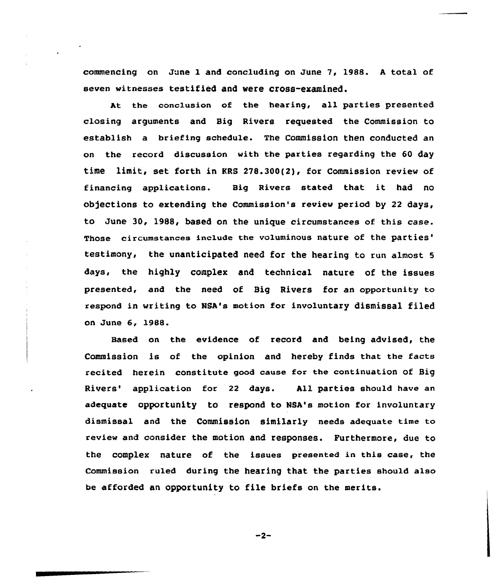commencing on June l and concluding on June 7, 1988. <sup>A</sup> total of seven witnesses testified and vere cross-examined.

At the conclusion of the hearing, all parties presented closing arguments and Big Rivers requested the Commission to establish a briefing schedule. The Commission then conducted an on the record discussion with the parties regarding the 60 day time limit, set farth in KRS 278.300(2), for Commission review af financing applications. Big Rivers stated that it had no objections to extending the Commission's review period by 22 days, to June 30, 1988, based on the unique circumstances of this case. Those circumstances include the voluminous nature of the parties' the unanticipated need for the hearing to run almost 5 days, the highly complex and technical nature of the issues presented, and the need of Big Rivers for an opportunity to respond in writing to NsA's motion for involuntary dismissal filed an June 6, 1988.

Based on the evidence of record and being advised, the Commission is of the opinion and hereby finds that the facts recited herein constitute good cause for the continuation of Big Rivers' application for 22 days. All parties should have an adequate opportunity to respond to NSA's motion for involuntary dismissal and the Commission similarly needs adequate time to review and consider the motion and responses. Furthermore, due to the complex nature of the issues presented in this case, the Commission ruled during the hearing that the parties should also be afforded an opportunity to file briefs on the merits.

 $-2-$